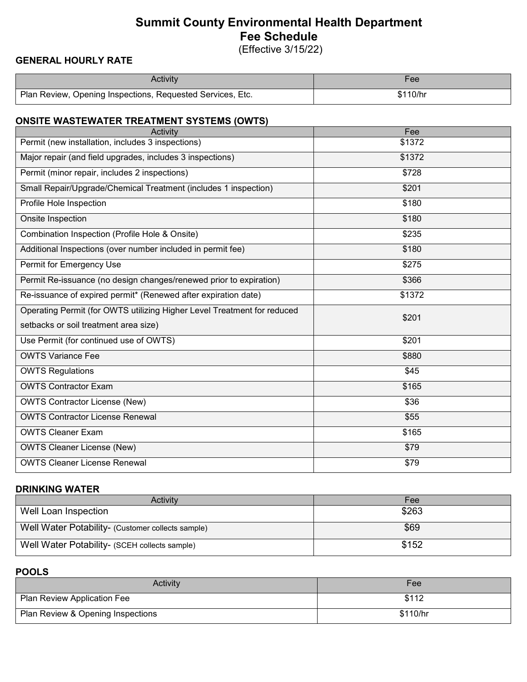# **Summit County Environmental Health Department Fee Schedule**

(Effective 3/15/22)

#### **GENERAL HOURLY RATE**

| <b>Activity</b>                                            | Fee      |
|------------------------------------------------------------|----------|
| Plan Review, Opening Inspections, Requested Services, Etc. | \$110/hr |

## **ONSITE WASTEWATER TREATMENT SYSTEMS (OWTS)**

| Activity                                                                | Fee    |
|-------------------------------------------------------------------------|--------|
| Permit (new installation, includes 3 inspections)                       | \$1372 |
| Major repair (and field upgrades, includes 3 inspections)               | \$1372 |
| Permit (minor repair, includes 2 inspections)                           | \$728  |
| Small Repair/Upgrade/Chemical Treatment (includes 1 inspection)         | \$201  |
| Profile Hole Inspection                                                 | \$180  |
| Onsite Inspection                                                       | \$180  |
| Combination Inspection (Profile Hole & Onsite)                          | \$235  |
| Additional Inspections (over number included in permit fee)             | \$180  |
| Permit for Emergency Use                                                | \$275  |
| Permit Re-issuance (no design changes/renewed prior to expiration)      | \$366  |
| Re-issuance of expired permit* (Renewed after expiration date)          | \$1372 |
| Operating Permit (for OWTS utilizing Higher Level Treatment for reduced | \$201  |
| setbacks or soil treatment area size)                                   |        |
| Use Permit (for continued use of OWTS)                                  | \$201  |
| <b>OWTS Variance Fee</b>                                                | \$880  |
| <b>OWTS Regulations</b>                                                 | \$45   |
| <b>OWTS Contractor Exam</b>                                             | \$165  |
| <b>OWTS Contractor License (New)</b>                                    | \$36   |
| <b>OWTS Contractor License Renewal</b>                                  | \$55   |
| <b>OWTS Cleaner Exam</b>                                                | \$165  |
| <b>OWTS Cleaner License (New)</b>                                       | \$79   |
| <b>OWTS Cleaner License Renewal</b>                                     | \$79   |

#### **DRINKING WATER**

| Activitv                                          | Fee   |
|---------------------------------------------------|-------|
| Well Loan Inspection                              | \$263 |
| Well Water Potability- (Customer collects sample) | \$69  |
| Well Water Potability- (SCEH collects sample)     | \$152 |

#### **POOLS**

| <b>Activity</b>                    | Fee      |
|------------------------------------|----------|
| <b>Plan Review Application Fee</b> | \$112    |
| Plan Review & Opening Inspections  | \$110/hr |